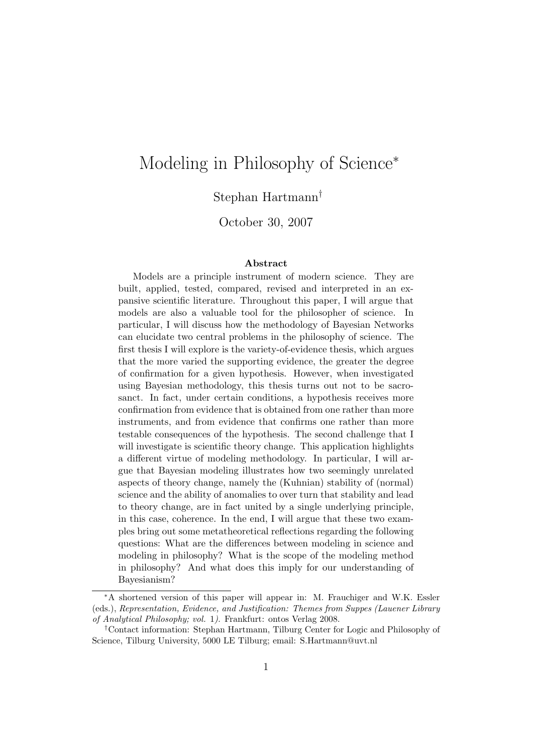# Modeling in Philosophy of Science<sup>∗</sup>

Stephan Hartmann†

October 30, 2007

#### Abstract

Models are a principle instrument of modern science. They are built, applied, tested, compared, revised and interpreted in an expansive scientific literature. Throughout this paper, I will argue that models are also a valuable tool for the philosopher of science. In particular, I will discuss how the methodology of Bayesian Networks can elucidate two central problems in the philosophy of science. The first thesis I will explore is the variety-of-evidence thesis, which argues that the more varied the supporting evidence, the greater the degree of confirmation for a given hypothesis. However, when investigated using Bayesian methodology, this thesis turns out not to be sacrosanct. In fact, under certain conditions, a hypothesis receives more confirmation from evidence that is obtained from one rather than more instruments, and from evidence that confirms one rather than more testable consequences of the hypothesis. The second challenge that I will investigate is scientific theory change. This application highlights a different virtue of modeling methodology. In particular, I will argue that Bayesian modeling illustrates how two seemingly unrelated aspects of theory change, namely the (Kuhnian) stability of (normal) science and the ability of anomalies to over turn that stability and lead to theory change, are in fact united by a single underlying principle, in this case, coherence. In the end, I will argue that these two examples bring out some metatheoretical reflections regarding the following questions: What are the differences between modeling in science and modeling in philosophy? What is the scope of the modeling method in philosophy? And what does this imply for our understanding of Bayesianism?

<sup>∗</sup>A shortened version of this paper will appear in: M. Frauchiger and W.K. Essler (eds.), Representation, Evidence, and Justification: Themes from Suppes (Lauener Library of Analytical Philosophy; vol. 1). Frankfurt: ontos Verlag 2008.

<sup>†</sup>Contact information: Stephan Hartmann, Tilburg Center for Logic and Philosophy of Science, Tilburg University, 5000 LE Tilburg; email: S.Hartmann@uvt.nl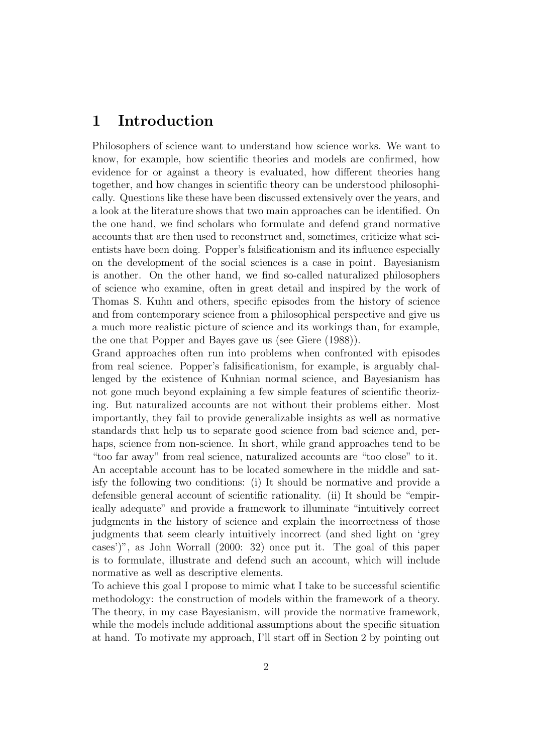# 1 Introduction

Philosophers of science want to understand how science works. We want to know, for example, how scientific theories and models are confirmed, how evidence for or against a theory is evaluated, how different theories hang together, and how changes in scientific theory can be understood philosophically. Questions like these have been discussed extensively over the years, and a look at the literature shows that two main approaches can be identified. On the one hand, we find scholars who formulate and defend grand normative accounts that are then used to reconstruct and, sometimes, criticize what scientists have been doing. Popper's falsificationism and its influence especially on the development of the social sciences is a case in point. Bayesianism is another. On the other hand, we find so-called naturalized philosophers of science who examine, often in great detail and inspired by the work of Thomas S. Kuhn and others, specific episodes from the history of science and from contemporary science from a philosophical perspective and give us a much more realistic picture of science and its workings than, for example, the one that Popper and Bayes gave us (see Giere (1988)).

Grand approaches often run into problems when confronted with episodes from real science. Popper's falisificationism, for example, is arguably challenged by the existence of Kuhnian normal science, and Bayesianism has not gone much beyond explaining a few simple features of scientific theorizing. But naturalized accounts are not without their problems either. Most importantly, they fail to provide generalizable insights as well as normative standards that help us to separate good science from bad science and, perhaps, science from non-science. In short, while grand approaches tend to be "too far away" from real science, naturalized accounts are "too close" to it. An acceptable account has to be located somewhere in the middle and satisfy the following two conditions: (i) It should be normative and provide a defensible general account of scientific rationality. (ii) It should be "empirically adequate" and provide a framework to illuminate "intuitively correct judgments in the history of science and explain the incorrectness of those judgments that seem clearly intuitively incorrect (and shed light on 'grey cases')", as John Worrall (2000: 32) once put it. The goal of this paper is to formulate, illustrate and defend such an account, which will include normative as well as descriptive elements.

To achieve this goal I propose to mimic what I take to be successful scientific methodology: the construction of models within the framework of a theory. The theory, in my case Bayesianism, will provide the normative framework, while the models include additional assumptions about the specific situation at hand. To motivate my approach, I'll start off in Section 2 by pointing out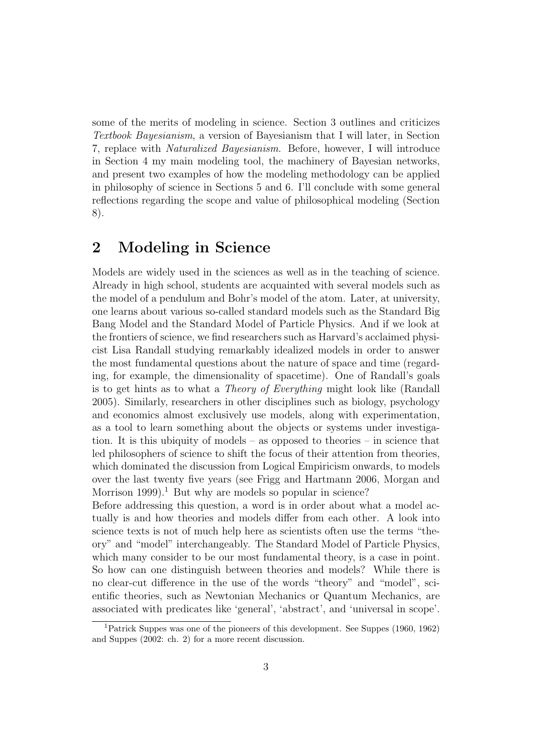some of the merits of modeling in science. Section 3 outlines and criticizes Textbook Bayesianism, a version of Bayesianism that I will later, in Section 7, replace with Naturalized Bayesianism. Before, however, I will introduce in Section 4 my main modeling tool, the machinery of Bayesian networks, and present two examples of how the modeling methodology can be applied in philosophy of science in Sections 5 and 6. I'll conclude with some general reflections regarding the scope and value of philosophical modeling (Section 8).

## 2 Modeling in Science

Models are widely used in the sciences as well as in the teaching of science. Already in high school, students are acquainted with several models such as the model of a pendulum and Bohr's model of the atom. Later, at university, one learns about various so-called standard models such as the Standard Big Bang Model and the Standard Model of Particle Physics. And if we look at the frontiers of science, we find researchers such as Harvard's acclaimed physicist Lisa Randall studying remarkably idealized models in order to answer the most fundamental questions about the nature of space and time (regarding, for example, the dimensionality of spacetime). One of Randall's goals is to get hints as to what a Theory of Everything might look like (Randall 2005). Similarly, researchers in other disciplines such as biology, psychology and economics almost exclusively use models, along with experimentation, as a tool to learn something about the objects or systems under investigation. It is this ubiquity of models – as opposed to theories – in science that led philosophers of science to shift the focus of their attention from theories, which dominated the discussion from Logical Empiricism onwards, to models over the last twenty five years (see Frigg and Hartmann 2006, Morgan and Morrison 1999).<sup>1</sup> But why are models so popular in science?

Before addressing this question, a word is in order about what a model actually is and how theories and models differ from each other. A look into science texts is not of much help here as scientists often use the terms "theory" and "model" interchangeably. The Standard Model of Particle Physics, which many consider to be our most fundamental theory, is a case in point. So how can one distinguish between theories and models? While there is no clear-cut difference in the use of the words "theory" and "model", scientific theories, such as Newtonian Mechanics or Quantum Mechanics, are associated with predicates like 'general', 'abstract', and 'universal in scope'.

<sup>1</sup>Patrick Suppes was one of the pioneers of this development. See Suppes (1960, 1962) and Suppes (2002: ch. 2) for a more recent discussion.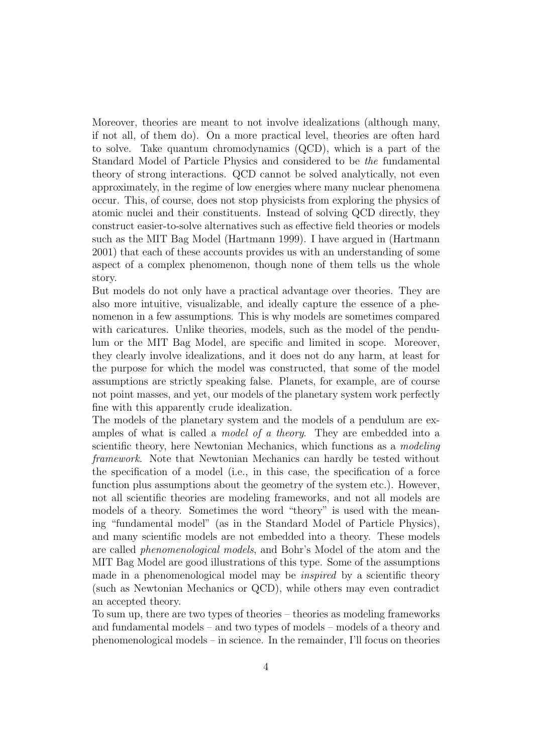Moreover, theories are meant to not involve idealizations (although many, if not all, of them do). On a more practical level, theories are often hard to solve. Take quantum chromodynamics (QCD), which is a part of the Standard Model of Particle Physics and considered to be the fundamental theory of strong interactions. QCD cannot be solved analytically, not even approximately, in the regime of low energies where many nuclear phenomena occur. This, of course, does not stop physicists from exploring the physics of atomic nuclei and their constituents. Instead of solving QCD directly, they construct easier-to-solve alternatives such as effective field theories or models such as the MIT Bag Model (Hartmann 1999). I have argued in (Hartmann 2001) that each of these accounts provides us with an understanding of some aspect of a complex phenomenon, though none of them tells us the whole story.

But models do not only have a practical advantage over theories. They are also more intuitive, visualizable, and ideally capture the essence of a phenomenon in a few assumptions. This is why models are sometimes compared with caricatures. Unlike theories, models, such as the model of the pendulum or the MIT Bag Model, are specific and limited in scope. Moreover, they clearly involve idealizations, and it does not do any harm, at least for the purpose for which the model was constructed, that some of the model assumptions are strictly speaking false. Planets, for example, are of course not point masses, and yet, our models of the planetary system work perfectly fine with this apparently crude idealization.

The models of the planetary system and the models of a pendulum are examples of what is called a model of a theory. They are embedded into a scientific theory, here Newtonian Mechanics, which functions as a *modeling* framework. Note that Newtonian Mechanics can hardly be tested without the specification of a model (i.e., in this case, the specification of a force function plus assumptions about the geometry of the system etc.). However, not all scientific theories are modeling frameworks, and not all models are models of a theory. Sometimes the word "theory" is used with the meaning "fundamental model" (as in the Standard Model of Particle Physics), and many scientific models are not embedded into a theory. These models are called phenomenological models, and Bohr's Model of the atom and the MIT Bag Model are good illustrations of this type. Some of the assumptions made in a phenomenological model may be *inspired* by a scientific theory (such as Newtonian Mechanics or QCD), while others may even contradict an accepted theory.

To sum up, there are two types of theories – theories as modeling frameworks and fundamental models – and two types of models – models of a theory and phenomenological models – in science. In the remainder, I'll focus on theories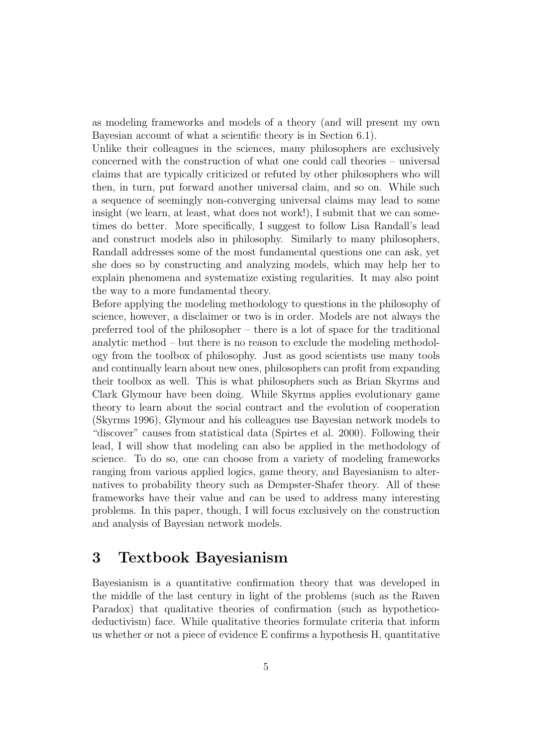as modeling frameworks and models of a theory (and will present my own Bayesian account of what a scientific theory is in Section 6.1).

Unlike their colleagues in the sciences, many philosophers are exclusively concerned with the construction of what one could call theories – universal claims that are typically criticized or refuted by other philosophers who will then, in turn, put forward another universal claim, and so on. While such a sequence of seemingly non-converging universal claims may lead to some insight (we learn, at least, what does not work!), I submit that we can sometimes do better. More specifically, I suggest to follow Lisa Randall's lead and construct models also in philosophy. Similarly to many philosophers, Randall addresses some of the most fundamental questions one can ask, yet she does so by constructing and analyzing models, which may help her to explain phenomena and systematize existing regularities. It may also point the way to a more fundamental theory.

Before applying the modeling methodology to questions in the philosophy of science, however, a disclaimer or two is in order. Models are not always the preferred tool of the philosopher – there is a lot of space for the traditional analytic method – but there is no reason to exclude the modeling methodology from the toolbox of philosophy. Just as good scientists use many tools and continually learn about new ones, philosophers can profit from expanding their toolbox as well. This is what philosophers such as Brian Skyrms and Clark Glymour have been doing. While Skyrms applies evolutionary game theory to learn about the social contract and the evolution of cooperation (Skyrms 1996), Glymour and his colleagues use Bayesian network models to "discover" causes from statistical data (Spirtes et al. 2000). Following their lead, I will show that modeling can also be applied in the methodology of science. To do so, one can choose from a variety of modeling frameworks ranging from various applied logics, game theory, and Bayesianism to alternatives to probability theory such as Dempster-Shafer theory. All of these frameworks have their value and can be used to address many interesting problems. In this paper, though, I will focus exclusively on the construction and analysis of Bayesian network models.

### 3 Textbook Bayesianism

Bayesianism is a quantitative confirmation theory that was developed in the middle of the last century in light of the problems (such as the Raven Paradox) that qualitative theories of confirmation (such as hypotheticodeductivism) face. While qualitative theories formulate criteria that inform us whether or not a piece of evidence E confirms a hypothesis H, quantitative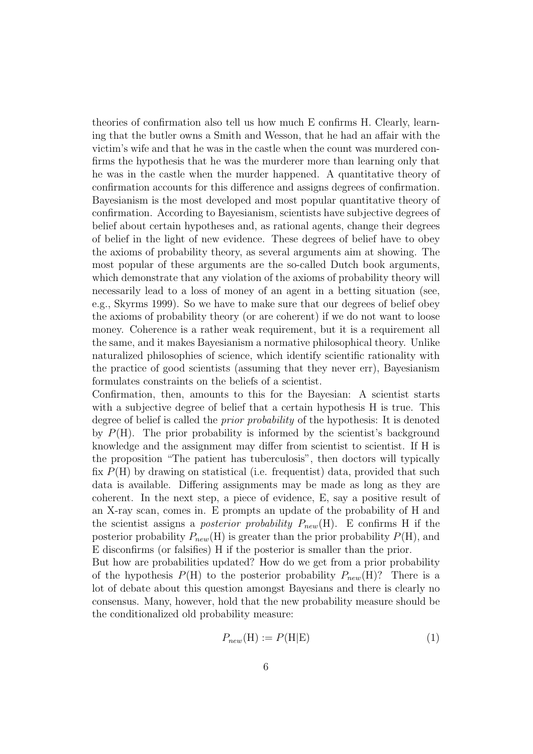theories of confirmation also tell us how much E confirms H. Clearly, learning that the butler owns a Smith and Wesson, that he had an affair with the victim's wife and that he was in the castle when the count was murdered confirms the hypothesis that he was the murderer more than learning only that he was in the castle when the murder happened. A quantitative theory of confirmation accounts for this difference and assigns degrees of confirmation. Bayesianism is the most developed and most popular quantitative theory of confirmation. According to Bayesianism, scientists have subjective degrees of belief about certain hypotheses and, as rational agents, change their degrees of belief in the light of new evidence. These degrees of belief have to obey the axioms of probability theory, as several arguments aim at showing. The most popular of these arguments are the so-called Dutch book arguments, which demonstrate that any violation of the axioms of probability theory will necessarily lead to a loss of money of an agent in a betting situation (see, e.g., Skyrms 1999). So we have to make sure that our degrees of belief obey the axioms of probability theory (or are coherent) if we do not want to loose money. Coherence is a rather weak requirement, but it is a requirement all the same, and it makes Bayesianism a normative philosophical theory. Unlike naturalized philosophies of science, which identify scientific rationality with the practice of good scientists (assuming that they never err), Bayesianism formulates constraints on the beliefs of a scientist.

Confirmation, then, amounts to this for the Bayesian: A scientist starts with a subjective degree of belief that a certain hypothesis H is true. This degree of belief is called the *prior probability* of the hypothesis: It is denoted by  $P(H)$ . The prior probability is informed by the scientist's background knowledge and the assignment may differ from scientist to scientist. If H is the proposition "The patient has tuberculosis", then doctors will typically fix  $P(H)$  by drawing on statistical (i.e. frequentist) data, provided that such data is available. Differing assignments may be made as long as they are coherent. In the next step, a piece of evidence, E, say a positive result of an X-ray scan, comes in. E prompts an update of the probability of H and the scientist assigns a *posterior probability*  $P_{new}(H)$ . E confirms H if the posterior probability  $P_{new}(H)$  is greater than the prior probability  $P(H)$ , and E disconfirms (or falsifies) H if the posterior is smaller than the prior.

But how are probabilities updated? How do we get from a prior probability of the hypothesis  $P(H)$  to the posterior probability  $P_{new}(H)$ ? There is a lot of debate about this question amongst Bayesians and there is clearly no consensus. Many, however, hold that the new probability measure should be the conditionalized old probability measure:

$$
P_{new}(\mathbf{H}) := P(\mathbf{H}|\mathbf{E})\tag{1}
$$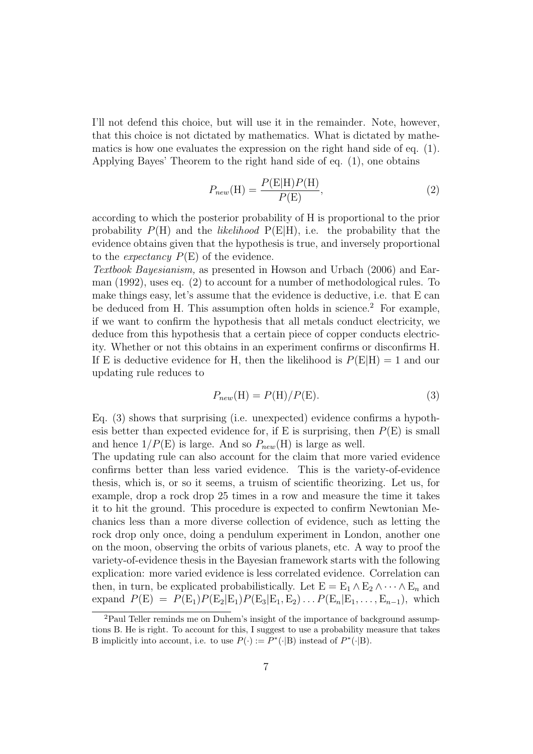I'll not defend this choice, but will use it in the remainder. Note, however, that this choice is not dictated by mathematics. What is dictated by mathematics is how one evaluates the expression on the right hand side of eq. (1). Applying Bayes' Theorem to the right hand side of eq. (1), one obtains

$$
P_{new}(\mathbf{H}) = \frac{P(\mathbf{E}|\mathbf{H})P(\mathbf{H})}{P(\mathbf{E})},\tag{2}
$$

according to which the posterior probability of H is proportional to the prior probability  $P(H)$  and the *likelihood*  $P(E|H)$ , i.e. the probability that the evidence obtains given that the hypothesis is true, and inversely proportional to the *expectancy*  $P(E)$  of the evidence.

Textbook Bayesianism, as presented in Howson and Urbach (2006) and Earman (1992), uses eq. (2) to account for a number of methodological rules. To make things easy, let's assume that the evidence is deductive, i.e. that E can be deduced from H. This assumption often holds in science.<sup>2</sup> For example, if we want to confirm the hypothesis that all metals conduct electricity, we deduce from this hypothesis that a certain piece of copper conducts electricity. Whether or not this obtains in an experiment confirms or disconfirms H. If E is deductive evidence for H, then the likelihood is  $P(E|H) = 1$  and our updating rule reduces to

$$
P_{new}(\mathbf{H}) = P(\mathbf{H})/P(\mathbf{E}).\tag{3}
$$

Eq. (3) shows that surprising (i.e. unexpected) evidence confirms a hypothesis better than expected evidence for, if E is surprising, then  $P(E)$  is small and hence  $1/P(E)$  is large. And so  $P_{new}(H)$  is large as well.

The updating rule can also account for the claim that more varied evidence confirms better than less varied evidence. This is the variety-of-evidence thesis, which is, or so it seems, a truism of scientific theorizing. Let us, for example, drop a rock drop 25 times in a row and measure the time it takes it to hit the ground. This procedure is expected to confirm Newtonian Mechanics less than a more diverse collection of evidence, such as letting the rock drop only once, doing a pendulum experiment in London, another one on the moon, observing the orbits of various planets, etc. A way to proof the variety-of-evidence thesis in the Bayesian framework starts with the following explication: more varied evidence is less correlated evidence. Correlation can then, in turn, be explicated probabilistically. Let  $E = E_1 \wedge E_2 \wedge \cdots \wedge E_n$  and expand  $P(E) = P(E_1)P(E_2|E_1)P(E_3|E_1, E_2) \dots P(E_n|E_1, \dots, E_{n-1}),$  which

<sup>2</sup>Paul Teller reminds me on Duhem's insight of the importance of background assumptions B. He is right. To account for this, I suggest to use a probability measure that takes B implicitly into account, i.e. to use  $P(\cdot) := P^*(\cdot | B)$  instead of  $P^*(\cdot | B)$ .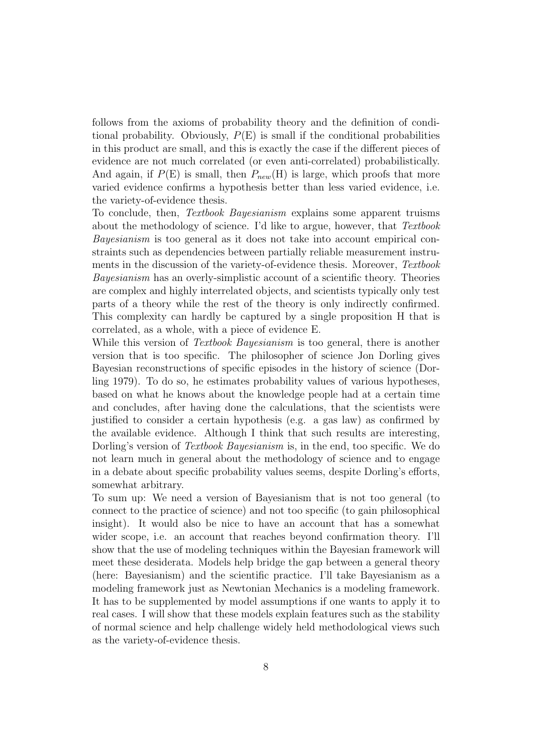follows from the axioms of probability theory and the definition of conditional probability. Obviously,  $P(E)$  is small if the conditional probabilities in this product are small, and this is exactly the case if the different pieces of evidence are not much correlated (or even anti-correlated) probabilistically. And again, if  $P(E)$  is small, then  $P_{new}(H)$  is large, which proofs that more varied evidence confirms a hypothesis better than less varied evidence, i.e. the variety-of-evidence thesis.

To conclude, then, Textbook Bayesianism explains some apparent truisms about the methodology of science. I'd like to argue, however, that Textbook Bayesianism is too general as it does not take into account empirical constraints such as dependencies between partially reliable measurement instruments in the discussion of the variety-of-evidence thesis. Moreover, Textbook Bayesianism has an overly-simplistic account of a scientific theory. Theories are complex and highly interrelated objects, and scientists typically only test parts of a theory while the rest of the theory is only indirectly confirmed. This complexity can hardly be captured by a single proposition H that is correlated, as a whole, with a piece of evidence E.

While this version of *Textbook Bayesianism* is too general, there is another version that is too specific. The philosopher of science Jon Dorling gives Bayesian reconstructions of specific episodes in the history of science (Dorling 1979). To do so, he estimates probability values of various hypotheses, based on what he knows about the knowledge people had at a certain time and concludes, after having done the calculations, that the scientists were justified to consider a certain hypothesis (e.g. a gas law) as confirmed by the available evidence. Although I think that such results are interesting, Dorling's version of *Textbook Bayesianism* is, in the end, too specific. We do not learn much in general about the methodology of science and to engage in a debate about specific probability values seems, despite Dorling's efforts, somewhat arbitrary.

To sum up: We need a version of Bayesianism that is not too general (to connect to the practice of science) and not too specific (to gain philosophical insight). It would also be nice to have an account that has a somewhat wider scope, i.e. an account that reaches beyond confirmation theory. I'll show that the use of modeling techniques within the Bayesian framework will meet these desiderata. Models help bridge the gap between a general theory (here: Bayesianism) and the scientific practice. I'll take Bayesianism as a modeling framework just as Newtonian Mechanics is a modeling framework. It has to be supplemented by model assumptions if one wants to apply it to real cases. I will show that these models explain features such as the stability of normal science and help challenge widely held methodological views such as the variety-of-evidence thesis.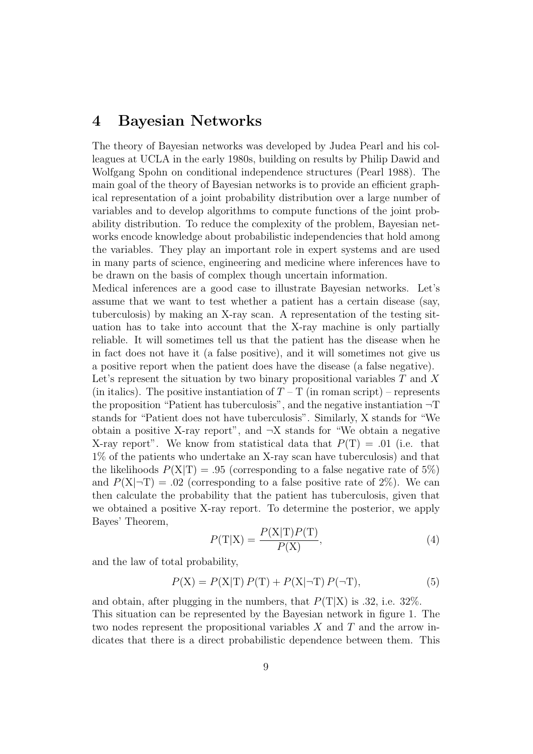### 4 Bayesian Networks

The theory of Bayesian networks was developed by Judea Pearl and his colleagues at UCLA in the early 1980s, building on results by Philip Dawid and Wolfgang Spohn on conditional independence structures (Pearl 1988). The main goal of the theory of Bayesian networks is to provide an efficient graphical representation of a joint probability distribution over a large number of variables and to develop algorithms to compute functions of the joint probability distribution. To reduce the complexity of the problem, Bayesian networks encode knowledge about probabilistic independencies that hold among the variables. They play an important role in expert systems and are used in many parts of science, engineering and medicine where inferences have to be drawn on the basis of complex though uncertain information.

Medical inferences are a good case to illustrate Bayesian networks. Let's assume that we want to test whether a patient has a certain disease (say, tuberculosis) by making an X-ray scan. A representation of the testing situation has to take into account that the X-ray machine is only partially reliable. It will sometimes tell us that the patient has the disease when he in fact does not have it (a false positive), and it will sometimes not give us a positive report when the patient does have the disease (a false negative).

Let's represent the situation by two binary propositional variables  $T$  and  $X$ (in italics). The positive instantiation of  $T-T$  (in roman script) – represents the proposition "Patient has tuberculosis", and the negative instantiation  $\neg$ T stands for "Patient does not have tuberculosis". Similarly, X stands for "We obtain a positive X-ray report", and  $\neg X$  stands for "We obtain a negative X-ray report". We know from statistical data that  $P(T) = .01$  (i.e. that 1% of the patients who undertake an X-ray scan have tuberculosis) and that the likelihoods  $P(X|T) = .95$  (corresponding to a false negative rate of 5%) and  $P(X|\neg T) = .02$  (corresponding to a false positive rate of 2%). We can then calculate the probability that the patient has tuberculosis, given that we obtained a positive X-ray report. To determine the posterior, we apply Bayes' Theorem,

$$
P(T|X) = \frac{P(X|T)P(T)}{P(X)},
$$
\n(4)

and the law of total probability,

$$
P(X) = P(X|T) P(T) + P(X|\neg T) P(\neg T),
$$
\n(5)

and obtain, after plugging in the numbers, that  $P(T|X)$  is .32, i.e. 32%. This situation can be represented by the Bayesian network in figure 1. The two nodes represent the propositional variables  $X$  and  $T$  and the arrow indicates that there is a direct probabilistic dependence between them. This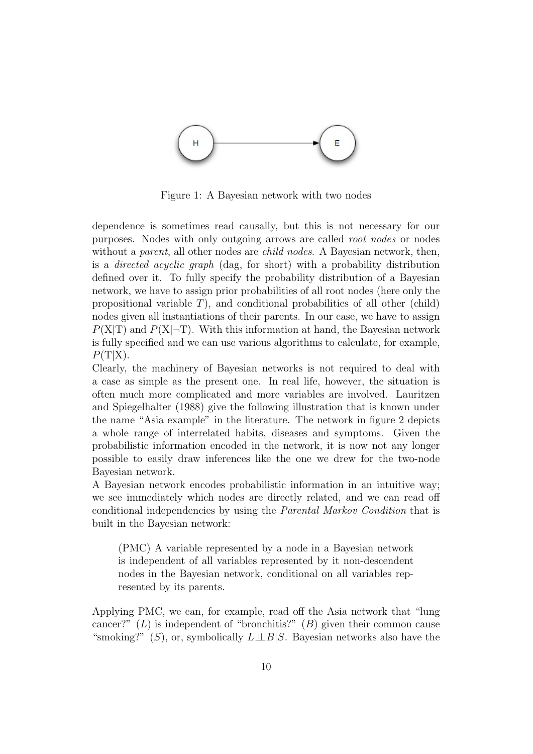

Figure 1: A Bayesian network with two nodes

dependence is sometimes read causally, but this is not necessary for our purposes. Nodes with only outgoing arrows are called root nodes or nodes without a *parent*, all other nodes are *child nodes*. A Bayesian network, then, is a directed acyclic graph (dag, for short) with a probability distribution defined over it. To fully specify the probability distribution of a Bayesian network, we have to assign prior probabilities of all root nodes (here only the propositional variable  $T$ ), and conditional probabilities of all other (child) nodes given all instantiations of their parents. In our case, we have to assign  $P(X|T)$  and  $P(X|\neg T)$ . With this information at hand, the Bayesian network is fully specified and we can use various algorithms to calculate, for example,  $P(T|X)$ .

Clearly, the machinery of Bayesian networks is not required to deal with a case as simple as the present one. In real life, however, the situation is often much more complicated and more variables are involved. Lauritzen and Spiegelhalter (1988) give the following illustration that is known under the name "Asia example" in the literature. The network in figure 2 depicts a whole range of interrelated habits, diseases and symptoms. Given the probabilistic information encoded in the network, it is now not any longer possible to easily draw inferences like the one we drew for the two-node Bayesian network.

A Bayesian network encodes probabilistic information in an intuitive way; we see immediately which nodes are directly related, and we can read off conditional independencies by using the Parental Markov Condition that is built in the Bayesian network:

(PMC) A variable represented by a node in a Bayesian network is independent of all variables represented by it non-descendent nodes in the Bayesian network, conditional on all variables represented by its parents.

Applying PMC, we can, for example, read off the Asia network that "lung cancer?"  $(L)$  is independent of "bronchitis?"  $(B)$  given their common cause "smoking?" (S), or, symbolically  $L \perp \!\!\!\perp B |S$ . Bayesian networks also have the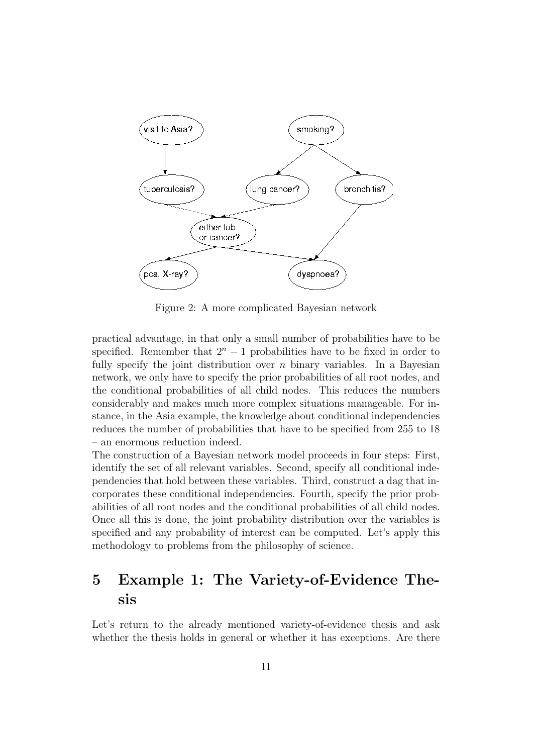

Figure 2: A more complicated Bayesian network

practical advantage, in that only a small number of probabilities have to be specified. Remember that  $2<sup>n</sup> - 1$  probabilities have to be fixed in order to fully specify the joint distribution over  $n$  binary variables. In a Bayesian network, we only have to specify the prior probabilities of all root nodes, and the conditional probabilities of all child nodes. This reduces the numbers considerably and makes much more complex situations manageable. For instance, in the Asia example, the knowledge about conditional independencies reduces the number of probabilities that have to be specified from 255 to 18 – an enormous reduction indeed.

The construction of a Bayesian network model proceeds in four steps: First, identify the set of all relevant variables. Second, specify all conditional independencies that hold between these variables. Third, construct a dag that incorporates these conditional independencies. Fourth, specify the prior probabilities of all root nodes and the conditional probabilities of all child nodes. Once all this is done, the joint probability distribution over the variables is specified and any probability of interest can be computed. Let's apply this methodology to problems from the philosophy of science.

# 5 Example 1: The Variety-of-Evidence Thesis

Let's return to the already mentioned variety-of-evidence thesis and ask whether the thesis holds in general or whether it has exceptions. Are there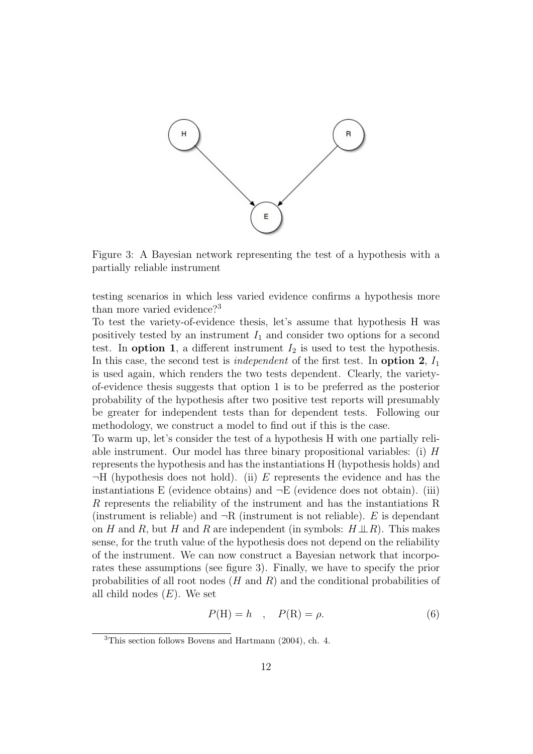

Figure 3: A Bayesian network representing the test of a hypothesis with a partially reliable instrument

testing scenarios in which less varied evidence confirms a hypothesis more than more varied evidence?<sup>3</sup>

To test the variety-of-evidence thesis, let's assume that hypothesis H was positively tested by an instrument  $I_1$  and consider two options for a second test. In option 1, a different instrument  $I_2$  is used to test the hypothesis. In this case, the second test is *independent* of the first test. In **option 2**,  $I_1$ is used again, which renders the two tests dependent. Clearly, the varietyof-evidence thesis suggests that option 1 is to be preferred as the posterior probability of the hypothesis after two positive test reports will presumably be greater for independent tests than for dependent tests. Following our methodology, we construct a model to find out if this is the case.

To warm up, let's consider the test of a hypothesis H with one partially reliable instrument. Our model has three binary propositional variables: (i)  $H$ represents the hypothesis and has the instantiations H (hypothesis holds) and  $\neg H$  (hypothesis does not hold). (ii) E represents the evidence and has the instantiations E (evidence obtains) and  $\neg E$  (evidence does not obtain). (iii) R represents the reliability of the instrument and has the instantiations R (instrument is reliable) and  $\neg R$  (instrument is not reliable). E is dependant on H and R, but H and R are independent (in symbols:  $H \perp\!\!\!\perp R$ ). This makes sense, for the truth value of the hypothesis does not depend on the reliability of the instrument. We can now construct a Bayesian network that incorporates these assumptions (see figure 3). Finally, we have to specify the prior probabilities of all root nodes  $(H \text{ and } R)$  and the conditional probabilities of all child nodes  $(E)$ . We set

$$
P(H) = h \quad , \quad P(R) = \rho. \tag{6}
$$

<sup>3</sup>This section follows Bovens and Hartmann (2004), ch. 4.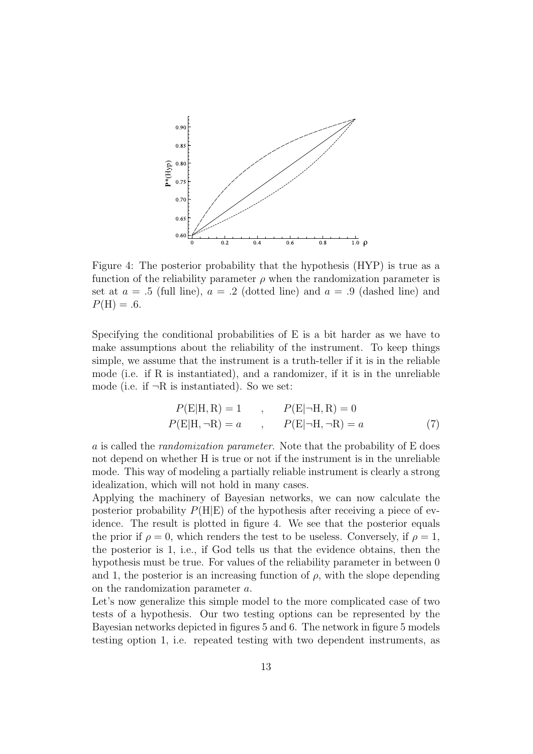

Figure 4: The posterior probability that the hypothesis (HYP) is true as a function of the reliability parameter  $\rho$  when the randomization parameter is set at  $a = .5$  (full line),  $a = .2$  (dotted line) and  $a = .9$  (dashed line) and  $P(H) = .6.$ 

Specifying the conditional probabilities of E is a bit harder as we have to make assumptions about the reliability of the instrument. To keep things simple, we assume that the instrument is a truth-teller if it is in the reliable mode (i.e. if R is instantiated), and a randomizer, if it is in the unreliable mode (i.e. if  $\neg R$  is instantiated). So we set:

$$
P(E|H, R) = 1 , \qquad P(E|\neg H, R) = 0
$$
  

$$
P(E|H, \neg R) = a , \qquad P(E|\neg H, \neg R) = a
$$
 (7)

a is called the randomization parameter. Note that the probability of E does not depend on whether H is true or not if the instrument is in the unreliable mode. This way of modeling a partially reliable instrument is clearly a strong idealization, which will not hold in many cases.

Applying the machinery of Bayesian networks, we can now calculate the posterior probability  $P(H|E)$  of the hypothesis after receiving a piece of evidence. The result is plotted in figure 4. We see that the posterior equals the prior if  $\rho = 0$ , which renders the test to be useless. Conversely, if  $\rho = 1$ , the posterior is 1, i.e., if God tells us that the evidence obtains, then the hypothesis must be true. For values of the reliability parameter in between 0 and 1, the posterior is an increasing function of  $\rho$ , with the slope depending on the randomization parameter a.

Let's now generalize this simple model to the more complicated case of two tests of a hypothesis. Our two testing options can be represented by the Bayesian networks depicted in figures 5 and 6. The network in figure 5 models testing option 1, i.e. repeated testing with two dependent instruments, as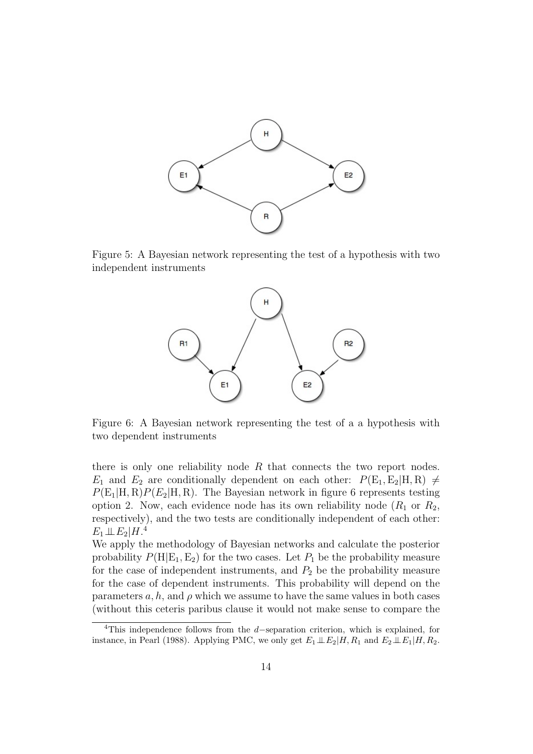

Figure 5: A Bayesian network representing the test of a hypothesis with two independent instruments



Figure 6: A Bayesian network representing the test of a a hypothesis with two dependent instruments

there is only one reliability node  $R$  that connects the two report nodes.  $E_1$  and  $E_2$  are conditionally dependent on each other:  $P(E_1, E_2|H, R) \neq$  $P(E_1|H, R)P(E_2|H, R)$ . The Bayesian network in figure 6 represents testing option 2. Now, each evidence node has its own reliability node  $(R_1 \text{ or } R_2)$ , respectively), and the two tests are conditionally independent of each other:  $E_1 \perp E_2 | H.^4$ 

We apply the methodology of Bayesian networks and calculate the posterior probability  $P(H|E_1, E_2)$  for the two cases. Let  $P_1$  be the probability measure for the case of independent instruments, and  $P_2$  be the probability measure for the case of dependent instruments. This probability will depend on the parameters  $a, h$ , and  $\rho$  which we assume to have the same values in both cases (without this ceteris paribus clause it would not make sense to compare the

<sup>&</sup>lt;sup>4</sup>This independence follows from the d−separation criterion, which is explained, for instance, in Pearl (1988). Applying PMC, we only get  $E_1 \perp E_2 | H, R_1$  and  $E_2 \perp E_1 | H, R_2$ .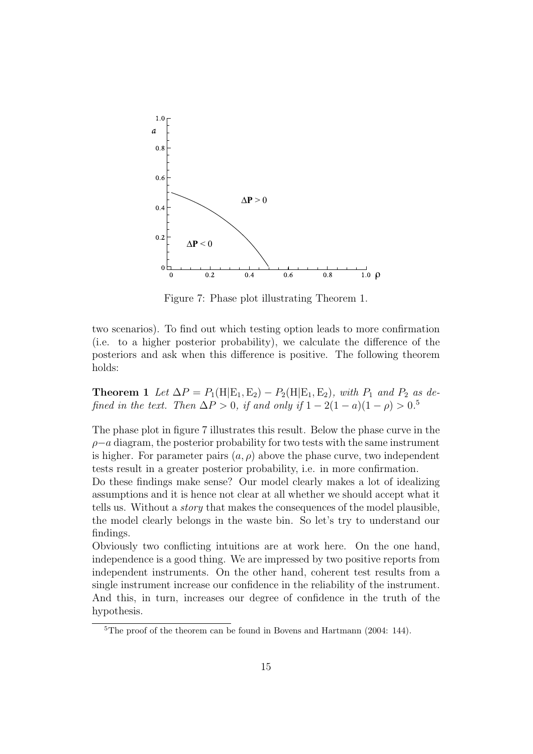

Figure 7: Phase plot illustrating Theorem 1.

two scenarios). To find out which testing option leads to more confirmation (i.e. to a higher posterior probability), we calculate the difference of the posteriors and ask when this difference is positive. The following theorem holds:

**Theorem 1** Let  $\Delta P = P_1(H|E_1, E_2) - P_2(H|E_1, E_2)$ , with  $P_1$  and  $P_2$  as defined in the text. Then  $\Delta P > 0$ , if and only if  $1 - 2(1 - a)(1 - \rho) > 0$ .<sup>5</sup>

The phase plot in figure 7 illustrates this result. Below the phase curve in the  $\rho-a$  diagram, the posterior probability for two tests with the same instrument is higher. For parameter pairs  $(a, \rho)$  above the phase curve, two independent tests result in a greater posterior probability, i.e. in more confirmation.

Do these findings make sense? Our model clearly makes a lot of idealizing assumptions and it is hence not clear at all whether we should accept what it tells us. Without a story that makes the consequences of the model plausible, the model clearly belongs in the waste bin. So let's try to understand our findings.

Obviously two conflicting intuitions are at work here. On the one hand, independence is a good thing. We are impressed by two positive reports from independent instruments. On the other hand, coherent test results from a single instrument increase our confidence in the reliability of the instrument. And this, in turn, increases our degree of confidence in the truth of the hypothesis.

<sup>&</sup>lt;sup>5</sup>The proof of the theorem can be found in Bovens and Hartmann (2004: 144).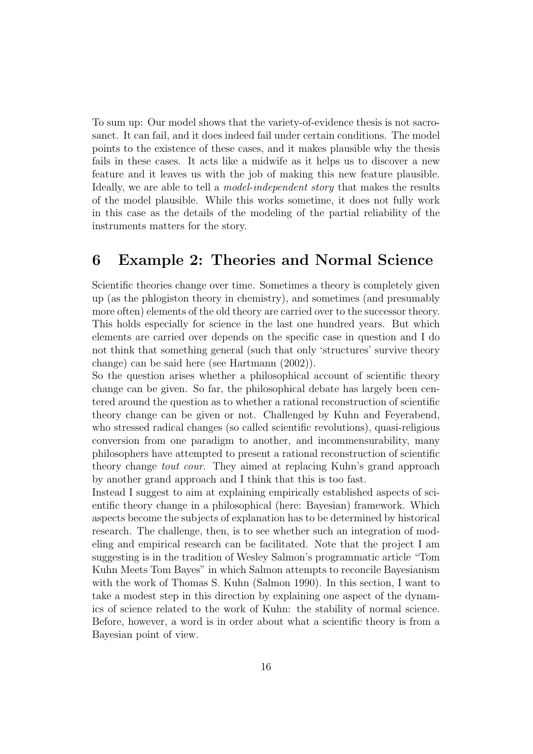To sum up: Our model shows that the variety-of-evidence thesis is not sacrosanct. It can fail, and it does indeed fail under certain conditions. The model points to the existence of these cases, and it makes plausible why the thesis fails in these cases. It acts like a midwife as it helps us to discover a new feature and it leaves us with the job of making this new feature plausible. Ideally, we are able to tell a model-independent story that makes the results of the model plausible. While this works sometime, it does not fully work in this case as the details of the modeling of the partial reliability of the instruments matters for the story.

# 6 Example 2: Theories and Normal Science

Scientific theories change over time. Sometimes a theory is completely given up (as the phlogiston theory in chemistry), and sometimes (and presumably more often) elements of the old theory are carried over to the successor theory. This holds especially for science in the last one hundred years. But which elements are carried over depends on the specific case in question and I do not think that something general (such that only 'structures' survive theory change) can be said here (see Hartmann (2002)).

So the question arises whether a philosophical account of scientific theory change can be given. So far, the philosophical debate has largely been centered around the question as to whether a rational reconstruction of scientific theory change can be given or not. Challenged by Kuhn and Feyerabend, who stressed radical changes (so called scientific revolutions), quasi-religious conversion from one paradigm to another, and incommensurability, many philosophers have attempted to present a rational reconstruction of scientific theory change tout cour. They aimed at replacing Kuhn's grand approach by another grand approach and I think that this is too fast.

Instead I suggest to aim at explaining empirically established aspects of scientific theory change in a philosophical (here: Bayesian) framework. Which aspects become the subjects of explanation has to be determined by historical research. The challenge, then, is to see whether such an integration of modeling and empirical research can be facilitated. Note that the project I am suggesting is in the tradition of Wesley Salmon's programmatic article "Tom Kuhn Meets Tom Bayes" in which Salmon attempts to reconcile Bayesianism with the work of Thomas S. Kuhn (Salmon 1990). In this section, I want to take a modest step in this direction by explaining one aspect of the dynamics of science related to the work of Kuhn: the stability of normal science. Before, however, a word is in order about what a scientific theory is from a Bayesian point of view.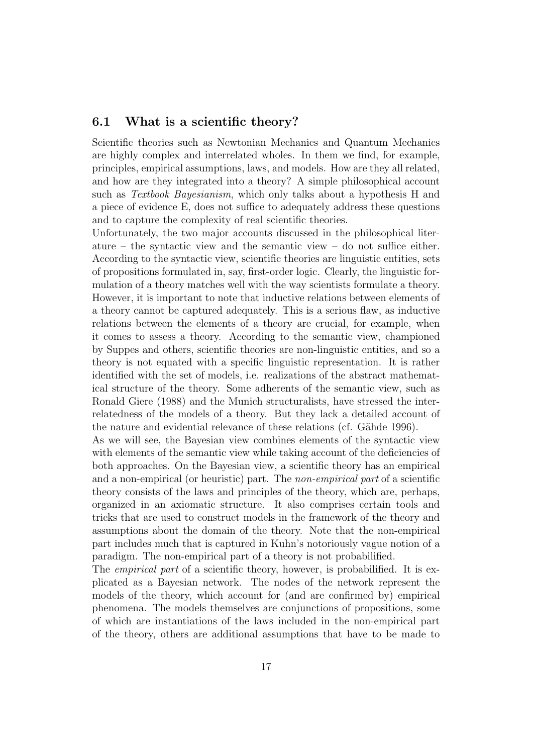#### 6.1 What is a scientific theory?

Scientific theories such as Newtonian Mechanics and Quantum Mechanics are highly complex and interrelated wholes. In them we find, for example, principles, empirical assumptions, laws, and models. How are they all related, and how are they integrated into a theory? A simple philosophical account such as Textbook Bayesianism, which only talks about a hypothesis H and a piece of evidence E, does not suffice to adequately address these questions and to capture the complexity of real scientific theories.

Unfortunately, the two major accounts discussed in the philosophical literature – the syntactic view and the semantic view – do not suffice either. According to the syntactic view, scientific theories are linguistic entities, sets of propositions formulated in, say, first-order logic. Clearly, the linguistic formulation of a theory matches well with the way scientists formulate a theory. However, it is important to note that inductive relations between elements of a theory cannot be captured adequately. This is a serious flaw, as inductive relations between the elements of a theory are crucial, for example, when it comes to assess a theory. According to the semantic view, championed by Suppes and others, scientific theories are non-linguistic entities, and so a theory is not equated with a specific linguistic representation. It is rather identified with the set of models, i.e. realizations of the abstract mathematical structure of the theory. Some adherents of the semantic view, such as Ronald Giere (1988) and the Munich structuralists, have stressed the interrelatedness of the models of a theory. But they lack a detailed account of the nature and evidential relevance of these relations (cf. Gähde 1996).

As we will see, the Bayesian view combines elements of the syntactic view with elements of the semantic view while taking account of the deficiencies of both approaches. On the Bayesian view, a scientific theory has an empirical and a non-empirical (or heuristic) part. The non-empirical part of a scientific theory consists of the laws and principles of the theory, which are, perhaps, organized in an axiomatic structure. It also comprises certain tools and tricks that are used to construct models in the framework of the theory and assumptions about the domain of the theory. Note that the non-empirical part includes much that is captured in Kuhn's notoriously vague notion of a paradigm. The non-empirical part of a theory is not probabilified.

The *empirical part* of a scientific theory, however, is probabilified. It is explicated as a Bayesian network. The nodes of the network represent the models of the theory, which account for (and are confirmed by) empirical phenomena. The models themselves are conjunctions of propositions, some of which are instantiations of the laws included in the non-empirical part of the theory, others are additional assumptions that have to be made to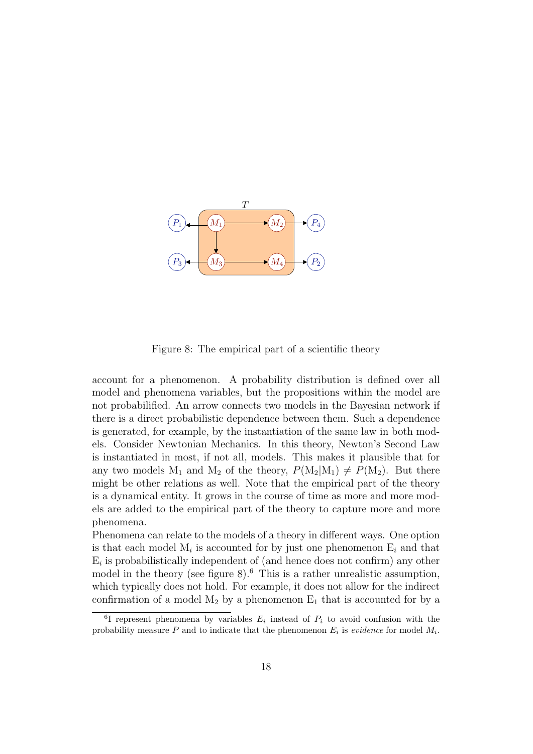

Figure 8: The empirical part of a scientific theory

account for a phenomenon. A probability distribution is defined over all model and phenomena variables, but the propositions within the model are not probabilified. An arrow connects two models in the Bayesian network if there is a direct probabilistic dependence between them. Such a dependence is generated, for example, by the instantiation of the same law in both models. Consider Newtonian Mechanics. In this theory, Newton's Second Law is instantiated in most, if not all, models. This makes it plausible that for any two models  $M_1$  and  $M_2$  of the theory,  $P(M_2|M_1) \neq P(M_2)$ . But there might be other relations as well. Note that the empirical part of the theory is a dynamical entity. It grows in the course of time as more and more models are added to the empirical part of the theory to capture more and more phenomena.

Phenomena can relate to the models of a theory in different ways. One option is that each model  $M_i$  is accounted for by just one phenomenon  $E_i$  and that  $E_i$  is probabilistically independent of (and hence does not confirm) any other model in the theory (see figure  $8$ ).<sup>6</sup> This is a rather unrealistic assumption, which typically does not hold. For example, it does not allow for the indirect confirmation of a model  $M_2$  by a phenomenon  $E_1$  that is accounted for by a

<sup>&</sup>lt;sup>6</sup>I represent phenomena by variables  $E_i$  instead of  $P_i$  to avoid confusion with the probability measure P and to indicate that the phenomenon  $E_i$  is *evidence* for model  $M_i$ .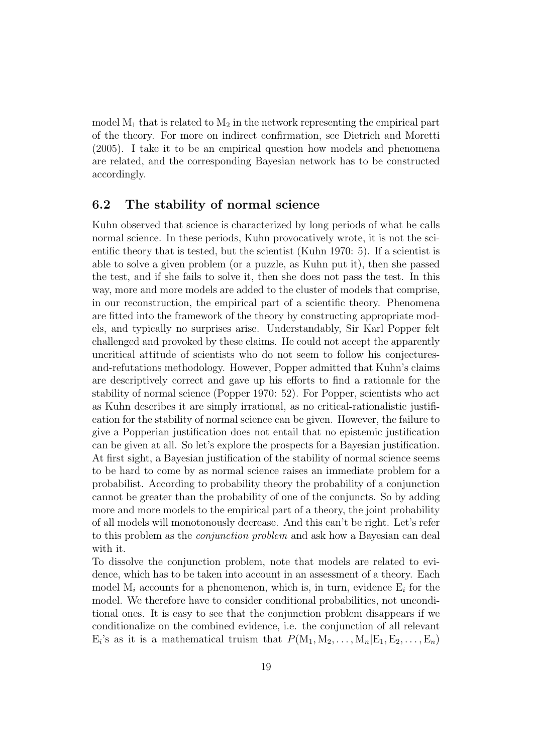model  $M_1$  that is related to  $M_2$  in the network representing the empirical part of the theory. For more on indirect confirmation, see Dietrich and Moretti (2005). I take it to be an empirical question how models and phenomena are related, and the corresponding Bayesian network has to be constructed accordingly.

#### 6.2 The stability of normal science

Kuhn observed that science is characterized by long periods of what he calls normal science. In these periods, Kuhn provocatively wrote, it is not the scientific theory that is tested, but the scientist (Kuhn 1970: 5). If a scientist is able to solve a given problem (or a puzzle, as Kuhn put it), then she passed the test, and if she fails to solve it, then she does not pass the test. In this way, more and more models are added to the cluster of models that comprise, in our reconstruction, the empirical part of a scientific theory. Phenomena are fitted into the framework of the theory by constructing appropriate models, and typically no surprises arise. Understandably, Sir Karl Popper felt challenged and provoked by these claims. He could not accept the apparently uncritical attitude of scientists who do not seem to follow his conjecturesand-refutations methodology. However, Popper admitted that Kuhn's claims are descriptively correct and gave up his efforts to find a rationale for the stability of normal science (Popper 1970: 52). For Popper, scientists who act as Kuhn describes it are simply irrational, as no critical-rationalistic justification for the stability of normal science can be given. However, the failure to give a Popperian justification does not entail that no epistemic justification can be given at all. So let's explore the prospects for a Bayesian justification. At first sight, a Bayesian justification of the stability of normal science seems to be hard to come by as normal science raises an immediate problem for a probabilist. According to probability theory the probability of a conjunction cannot be greater than the probability of one of the conjuncts. So by adding more and more models to the empirical part of a theory, the joint probability of all models will monotonously decrease. And this can't be right. Let's refer to this problem as the conjunction problem and ask how a Bayesian can deal with it.

To dissolve the conjunction problem, note that models are related to evidence, which has to be taken into account in an assessment of a theory. Each model  $M_i$  accounts for a phenomenon, which is, in turn, evidence  $E_i$  for the model. We therefore have to consider conditional probabilities, not unconditional ones. It is easy to see that the conjunction problem disappears if we conditionalize on the combined evidence, i.e. the conjunction of all relevant  $E_i$ 's as it is a mathematical truism that  $P(M_1, M_2, \ldots, M_n | E_1, E_2, \ldots, E_n)$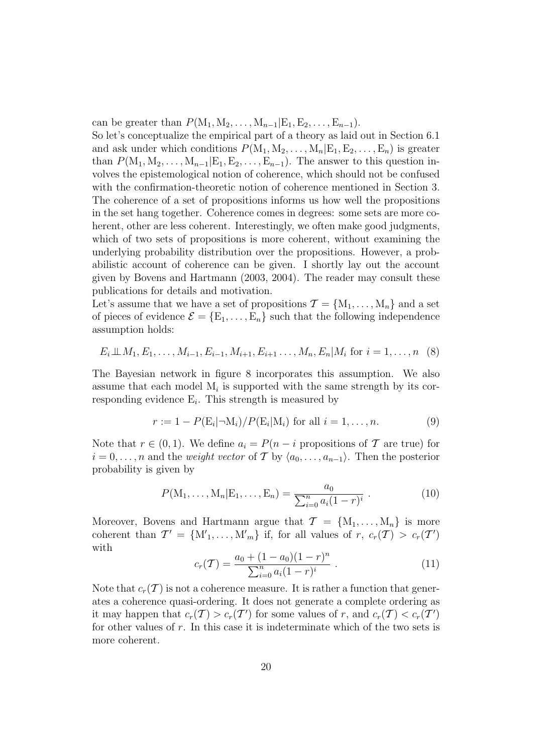can be greater than  $P(M_1, M_2, \ldots, M_{n-1} | E_1, E_2, \ldots, E_{n-1}).$ 

So let's conceptualize the empirical part of a theory as laid out in Section 6.1 and ask under which conditions  $P(M_1, M_2, \ldots, M_n | E_1, E_2, \ldots, E_n)$  is greater than  $P(M_1, M_2, \ldots, M_{n-1} | E_1, E_2, \ldots, E_{n-1})$ . The answer to this question involves the epistemological notion of coherence, which should not be confused with the confirmation-theoretic notion of coherence mentioned in Section 3. The coherence of a set of propositions informs us how well the propositions in the set hang together. Coherence comes in degrees: some sets are more coherent, other are less coherent. Interestingly, we often make good judgments, which of two sets of propositions is more coherent, without examining the underlying probability distribution over the propositions. However, a probabilistic account of coherence can be given. I shortly lay out the account given by Bovens and Hartmann (2003, 2004). The reader may consult these publications for details and motivation.

Let's assume that we have a set of propositions  $\mathcal{T} = \{M_1, \ldots, M_n\}$  and a set of pieces of evidence  $\mathcal{E} = \{E_1, \ldots, E_n\}$  such that the following independence assumption holds:

$$
E_i \perp \!\!\!\perp M_1, E_1, \ldots, M_{i-1}, E_{i-1}, M_{i+1}, E_{i+1}, \ldots, M_n, E_n | M_i \text{ for } i = 1, \ldots, n \quad (8)
$$

The Bayesian network in figure 8 incorporates this assumption. We also assume that each model  $M_i$  is supported with the same strength by its corresponding evidence  $E_i$ . This strength is measured by

$$
r := 1 - P(E_i | \neg M_i) / P(E_i | M_i) \text{ for all } i = 1, ..., n. \tag{9}
$$

Note that  $r \in (0, 1)$ . We define  $a_i = P(n - i \text{ propositions of } \mathcal{T} \text{ are true})$  for  $i = 0, \ldots, n$  and the *weight vector* of T by  $\langle a_0, \ldots, a_{n-1} \rangle$ . Then the posterior probability is given by

$$
P(\mathbf{M}_1, \dots, \mathbf{M}_n | \mathbf{E}_1, \dots, \mathbf{E}_n) = \frac{a_0}{\sum_{i=0}^n a_i (1-r)^i} .
$$
 (10)

Moreover, Bovens and Hartmann argue that  $\mathcal{T} = \{M_1, \ldots, M_n\}$  is more coherent than  $\mathcal{T}' = \{M'_1, \ldots, M'_m\}$  if, for all values of  $r, c_r(\mathcal{T}) > c_r(\mathcal{T}')$ with

$$
c_r(\mathcal{T}) = \frac{a_0 + (1 - a_0)(1 - r)^n}{\sum_{i=0}^n a_i (1 - r)^i} \,. \tag{11}
$$

Note that  $c_r(\mathcal{T})$  is not a coherence measure. It is rather a function that generates a coherence quasi-ordering. It does not generate a complete ordering as it may happen that  $c_r(T) > c_r(T')$  for some values of r, and  $c_r(T) < c_r(T')$ for other values of r. In this case it is indeterminate which of the two sets is more coherent.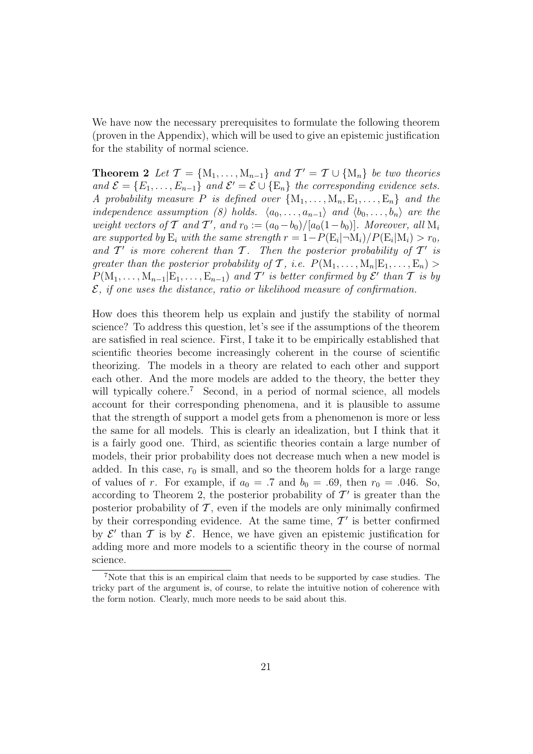We have now the necessary prerequisites to formulate the following theorem (proven in the Appendix), which will be used to give an epistemic justification for the stability of normal science.

**Theorem 2** Let  $\mathcal{T} = \{M_1, \ldots, M_{n-1}\}\$  and  $\mathcal{T}' = \mathcal{T} \cup \{M_n\}\$ be two theories and  $\mathcal{E} = \{E_1, \ldots, E_{n-1}\}\$ and  $\mathcal{E}' = \mathcal{E} \cup \{E_n\}\$ the corresponding evidence sets. A probability measure P is defined over  ${M_1, \ldots, M_n, E_1, \ldots, E_n}$  and the independence assumption (8) holds.  $\langle a_0, \ldots, a_{n-1} \rangle$  and  $\langle b_0, \ldots, b_n \rangle$  are the weight vectors of T and T', and  $r_0 := (a_0 - b_0)/[a_0(1-b_0)]$ . Moreover, all  $M_i$ are supported by  $E_i$  with the same strength  $r = 1 - P(E_i | \neg M_i) / P(E_i | M_i) > r_0$ , and  $T'$  is more coherent than  $T$ . Then the posterior probability of  $T'$  is greater than the posterior probability of T, i.e.  $P(\mathrm{M}_1, \ldots, \mathrm{M}_n | \mathrm{E}_1, \ldots, \mathrm{E}_n)$  $P(\mathbf{M}_1, \ldots, \mathbf{M}_{n-1} | \mathbf{E}_1, \ldots, \mathbf{E}_{n-1})$  and  $T'$  is better confirmed by  $\mathcal{E}'$  than  $T$  is by  $\mathcal{E}$ , if one uses the distance, ratio or likelihood measure of confirmation.

How does this theorem help us explain and justify the stability of normal science? To address this question, let's see if the assumptions of the theorem are satisfied in real science. First, I take it to be empirically established that scientific theories become increasingly coherent in the course of scientific theorizing. The models in a theory are related to each other and support each other. And the more models are added to the theory, the better they will typically cohere.<sup>7</sup> Second, in a period of normal science, all models account for their corresponding phenomena, and it is plausible to assume that the strength of support a model gets from a phenomenon is more or less the same for all models. This is clearly an idealization, but I think that it is a fairly good one. Third, as scientific theories contain a large number of models, their prior probability does not decrease much when a new model is added. In this case,  $r_0$  is small, and so the theorem holds for a large range of values of r. For example, if  $a_0 = .7$  and  $b_0 = .69$ , then  $r_0 = .046$ . So, according to Theorem 2, the posterior probability of  $\mathcal{T}'$  is greater than the posterior probability of  $\mathcal T$ , even if the models are only minimally confirmed by their corresponding evidence. At the same time,  $\mathcal{T}'$  is better confirmed by  $\mathcal{E}'$  than  $\mathcal T$  is by  $\mathcal E$ . Hence, we have given an epistemic justification for adding more and more models to a scientific theory in the course of normal science.

<sup>7</sup>Note that this is an empirical claim that needs to be supported by case studies. The tricky part of the argument is, of course, to relate the intuitive notion of coherence with the form notion. Clearly, much more needs to be said about this.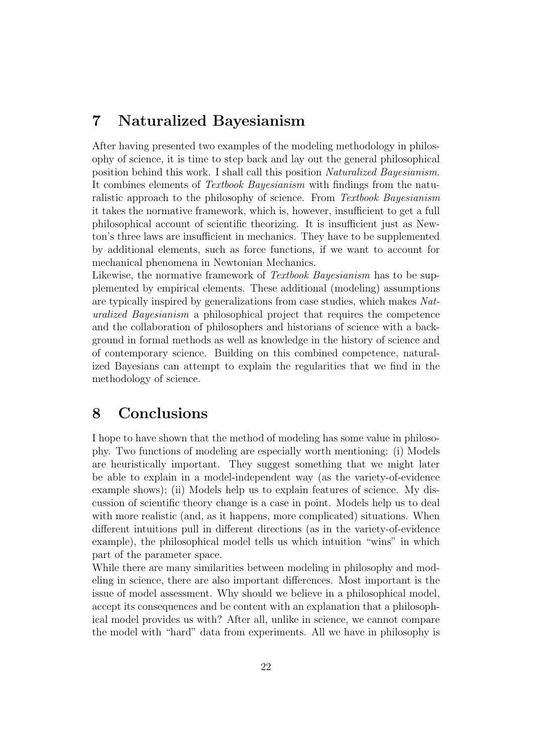# 7 Naturalized Bayesianism

After having presented two examples of the modeling methodology in philosophy of science, it is time to step back and lay out the general philosophical position behind this work. I shall call this position Naturalized Bayesianism. It combines elements of Textbook Bayesianism with findings from the naturalistic approach to the philosophy of science. From Textbook Bayesianism it takes the normative framework, which is, however, insufficient to get a full philosophical account of scientific theorizing. It is insufficient just as Newton's three laws are insufficient in mechanics. They have to be supplemented by additional elements, such as force functions, if we want to account for mechanical phenomena in Newtonian Mechanics.

Likewise, the normative framework of *Textbook Bayesianism* has to be supplemented by empirical elements. These additional (modeling) assumptions are typically inspired by generalizations from case studies, which makes Naturalized Bayesianism a philosophical project that requires the competence and the collaboration of philosophers and historians of science with a background in formal methods as well as knowledge in the history of science and of contemporary science. Building on this combined competence, naturalized Bayesians can attempt to explain the regularities that we find in the methodology of science.

## 8 Conclusions

I hope to have shown that the method of modeling has some value in philosophy. Two functions of modeling are especially worth mentioning: (i) Models are heuristically important. They suggest something that we might later be able to explain in a model-independent way (as the variety-of-evidence example shows); (ii) Models help us to explain features of science. My discussion of scientific theory change is a case in point. Models help us to deal with more realistic (and, as it happens, more complicated) situations. When different intuitions pull in different directions (as in the variety-of-evidence example), the philosophical model tells us which intuition "wins" in which part of the parameter space.

While there are many similarities between modeling in philosophy and modeling in science, there are also important differences. Most important is the issue of model assessment. Why should we believe in a philosophical model, accept its consequences and be content with an explanation that a philosophical model provides us with? After all, unlike in science, we cannot compare the model with "hard" data from experiments. All we have in philosophy is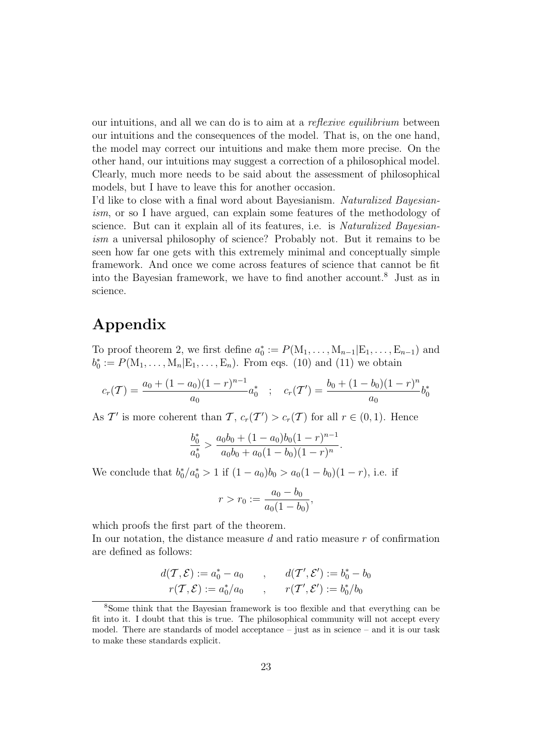our intuitions, and all we can do is to aim at a reflexive equilibrium between our intuitions and the consequences of the model. That is, on the one hand, the model may correct our intuitions and make them more precise. On the other hand, our intuitions may suggest a correction of a philosophical model. Clearly, much more needs to be said about the assessment of philosophical models, but I have to leave this for another occasion.

I'd like to close with a final word about Bayesianism. Naturalized Bayesianism, or so I have argued, can explain some features of the methodology of science. But can it explain all of its features, i.e. is *Naturalized Bayesian*ism a universal philosophy of science? Probably not. But it remains to be seen how far one gets with this extremely minimal and conceptually simple framework. And once we come across features of science that cannot be fit into the Bayesian framework, we have to find another account.<sup>8</sup> Just as in science.

# Appendix

To proof theorem 2, we first define  $a_0^* := P(M_1, \ldots, M_{n-1} | E_1, \ldots, E_{n-1})$  and  $b_0^* := P(M_1, ..., M_n | E_1, ..., E_n)$ . From eqs. (10) and (11) we obtain

$$
c_r(\mathcal{T}) = \frac{a_0 + (1 - a_0)(1 - r)^{n-1}}{a_0} a_0^* \quad ; \quad c_r(\mathcal{T}') = \frac{b_0 + (1 - b_0)(1 - r)^n}{a_0} b_0^*
$$

As T' is more coherent than T,  $c_r(T) > c_r(T)$  for all  $r \in (0,1)$ . Hence

$$
\frac{b_0^*}{a_0^*} > \frac{a_0b_0 + (1 - a_0)b_0(1 - r)^{n-1}}{a_0b_0 + a_0(1 - b_0)(1 - r)^n}.
$$

We conclude that  $b_0^*/a_0^* > 1$  if  $(1 - a_0)b_0 > a_0(1 - b_0)(1 - r)$ , i.e. if

$$
r > r_0 := \frac{a_0 - b_0}{a_0(1 - b_0)},
$$

which proofs the first part of the theorem.

In our notation, the distance measure  $d$  and ratio measure  $r$  of confirmation are defined as follows:

$$
d(\mathcal{T}, \mathcal{E}) := a_0^* - a_0 \qquad , \qquad d(\mathcal{T}', \mathcal{E}') := b_0^* - b_0
$$
  

$$
r(\mathcal{T}, \mathcal{E}) := a_0^* / a_0 \qquad , \qquad r(\mathcal{T}', \mathcal{E}') := b_0^* / b_0
$$

<sup>8</sup>Some think that the Bayesian framework is too flexible and that everything can be fit into it. I doubt that this is true. The philosophical community will not accept every model. There are standards of model acceptance – just as in science – and it is our task to make these standards explicit.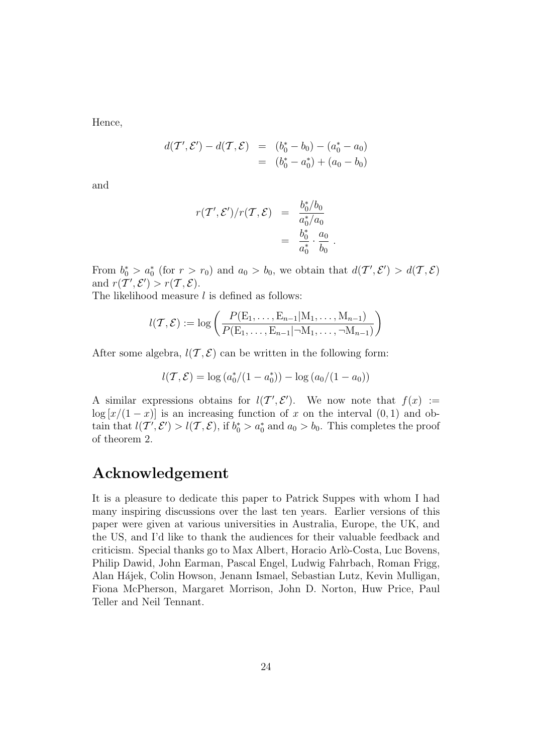Hence,

$$
d(\mathcal{T}', \mathcal{E}') - d(\mathcal{T}, \mathcal{E}) = (b_0^* - b_0) - (a_0^* - a_0)
$$
  
=  $(b_0^* - a_0^*) + (a_0 - b_0)$ 

and

$$
r(\mathcal{T}', \mathcal{E}')/r(\mathcal{T}, \mathcal{E}) = \frac{b_0^*/b_0}{a_0^*/a_0}
$$
  
= 
$$
\frac{b_0^*}{a_0^*} \cdot \frac{a_0}{b_0}.
$$

From  $b_0^* > a_0^*$  (for  $r > r_0$ ) and  $a_0 > b_0$ , we obtain that  $d(\mathcal{T}', \mathcal{E}') > d(\mathcal{T}, \mathcal{E})$ and  $r(\mathcal{T}', \mathcal{E}') > r(\mathcal{T}, \mathcal{E}).$ 

The likelihood measure  $l$  is defined as follows:

$$
l(\mathcal{T}, \mathcal{E}) := \log \left( \frac{P(\mathrm{E}_1, \ldots, \mathrm{E}_{n-1} | \mathrm{M}_1, \ldots, \mathrm{M}_{n-1})}{P(\mathrm{E}_1, \ldots, \mathrm{E}_{n-1} | \neg \mathrm{M}_1, \ldots, \neg \mathrm{M}_{n-1})} \right)
$$

After some algebra,  $l(\mathcal{T}, \mathcal{E})$  can be written in the following form:

$$
l(\mathcal{T}, \mathcal{E}) = \log (a_0^*/(1 - a_0^*)) - \log (a_0/(1 - a_0))
$$

A similar expressions obtains for  $l(\mathcal{T}', \mathcal{E}')$ . We now note that  $f(x) :=$  $\log [x/(1-x)]$  is an increasing function of x on the interval  $(0,1)$  and obtain that  $l(\mathcal{T}', \mathcal{E}') > l(\mathcal{T}, \mathcal{E})$ , if  $b_0^* > a_0^*$  and  $a_0 > b_0$ . This completes the proof of theorem 2.

### Acknowledgement

It is a pleasure to dedicate this paper to Patrick Suppes with whom I had many inspiring discussions over the last ten years. Earlier versions of this paper were given at various universities in Australia, Europe, the UK, and the US, and I'd like to thank the audiences for their valuable feedback and criticism. Special thanks go to Max Albert, Horacio Arlò-Costa, Luc Bovens, Philip Dawid, John Earman, Pascal Engel, Ludwig Fahrbach, Roman Frigg, Alan H´ajek, Colin Howson, Jenann Ismael, Sebastian Lutz, Kevin Mulligan, Fiona McPherson, Margaret Morrison, John D. Norton, Huw Price, Paul Teller and Neil Tennant.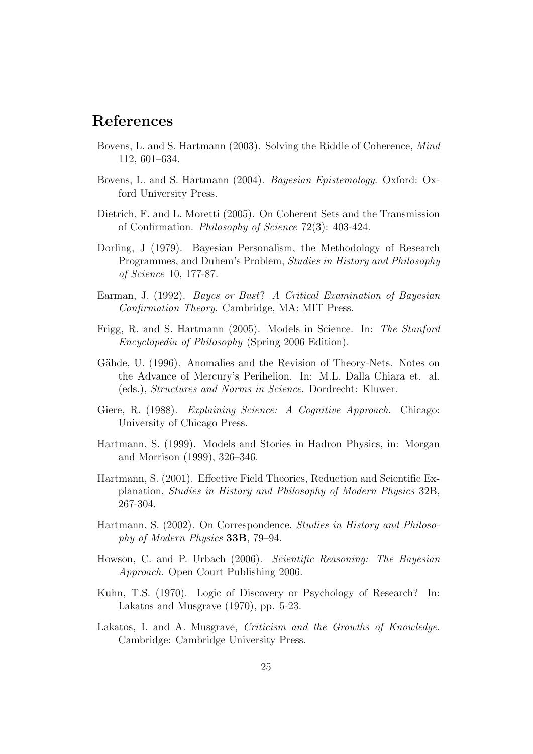# References

- Bovens, L. and S. Hartmann (2003). Solving the Riddle of Coherence, Mind 112, 601–634.
- Bovens, L. and S. Hartmann (2004). Bayesian Epistemology. Oxford: Oxford University Press.
- Dietrich, F. and L. Moretti (2005). On Coherent Sets and the Transmission of Confirmation. Philosophy of Science 72(3): 403-424.
- Dorling, J (1979). Bayesian Personalism, the Methodology of Research Programmes, and Duhem's Problem, Studies in History and Philosophy of Science 10, 177-87.
- Earman, J. (1992). Bayes or Bust? A Critical Examination of Bayesian Confirmation Theory. Cambridge, MA: MIT Press.
- Frigg, R. and S. Hartmann (2005). Models in Science. In: The Stanford Encyclopedia of Philosophy (Spring 2006 Edition).
- Gähde, U. (1996). Anomalies and the Revision of Theory-Nets. Notes on the Advance of Mercury's Perihelion. In: M.L. Dalla Chiara et. al. (eds.), Structures and Norms in Science. Dordrecht: Kluwer.
- Giere, R. (1988). Explaining Science: A Cognitive Approach. Chicago: University of Chicago Press.
- Hartmann, S. (1999). Models and Stories in Hadron Physics, in: Morgan and Morrison (1999), 326–346.
- Hartmann, S. (2001). Effective Field Theories, Reduction and Scientific Explanation, Studies in History and Philosophy of Modern Physics 32B, 267-304.
- Hartmann, S. (2002). On Correspondence, Studies in History and Philosophy of Modern Physics 33B, 79–94.
- Howson, C. and P. Urbach (2006). Scientific Reasoning: The Bayesian Approach. Open Court Publishing 2006.
- Kuhn, T.S. (1970). Logic of Discovery or Psychology of Research? In: Lakatos and Musgrave (1970), pp. 5-23.
- Lakatos, I. and A. Musgrave, *Criticism and the Growths of Knowledge*. Cambridge: Cambridge University Press.